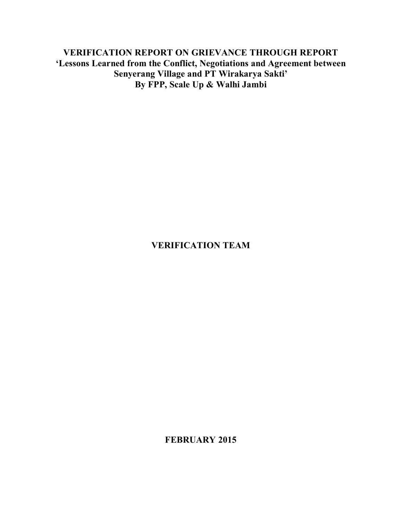**VERIFICATION REPORT ON GRIEVANCE THROUGH REPORT 'Lessons Learned from the Conflict, Negotiations and Agreement between Senyerang Village and PT Wirakarya Sakti' By FPP, Scale Up & Walhi Jambi**

# **VERIFICATION TEAM**

**FEBRUARY 2015**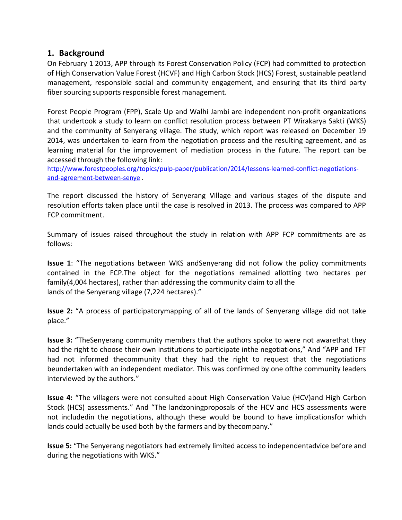## **1. Background**

On February 1 2013, APP through its Forest Conservation Policy (FCP) had committed to protection of High Conservation Value Forest (HCVF) and High Carbon Stock (HCS) Forest, sustainable peatland management, responsible social and community engagement, and ensuring that its third party fiber sourcing supports responsible forest management.

Forest People Program (FPP), Scale Up and Walhi Jambi are independent non-profit organizations that undertook a study to learn on conflict resolution process between PT Wirakarya Sakti (WKS) and the community of Senyerang village. The study, which report was released on December 19 2014, was undertaken to learn from the negotiation process and the resulting agreement, and as learning material for the improvement of mediation process in the future. The report can be accessed through the following link:

http://www.forestpeoples.org/topics/pulp-paper/publication/2014/lessons-learned-conflict-negotiationsand-agreement-between-senye .

The report discussed the history of Senyerang Village and various stages of the dispute and resolution efforts taken place until the case is resolved in 2013. The process was compared to APP FCP commitment.

Summary of issues raised throughout the study in relation with APP FCP commitments are as follows:

**Issue 1**: "The negotiations between WKS andSenyerang did not follow the policy commitments contained in the FCP.The object for the negotiations remained allotting two hectares per family(4,004 hectares), rather than addressing the community claim to all the lands of the Senyerang village (7,224 hectares)."

**Issue 2:** "A process of participatorymapping of all of the lands of Senyerang village did not take place."

**Issue 3:** "TheSenyerang community members that the authors spoke to were not awarethat they had the right to choose their own institutions to participate inthe negotiations," And "APP and TFT had not informed thecommunity that they had the right to request that the negotiations beundertaken with an independent mediator. This was confirmed by one ofthe community leaders interviewed by the authors."

**Issue 4:** "The villagers were not consulted about High Conservation Value (HCV)and High Carbon Stock (HCS) assessments." And "The landzoningproposals of the HCV and HCS assessments were not includedin the negotiations, although these would be bound to have implicationsfor which lands could actually be used both by the farmers and by thecompany."

during the negotiations with WKS."

**Issue 5:** "The Senyerang negotiators had extremely limited access to independentadvice before and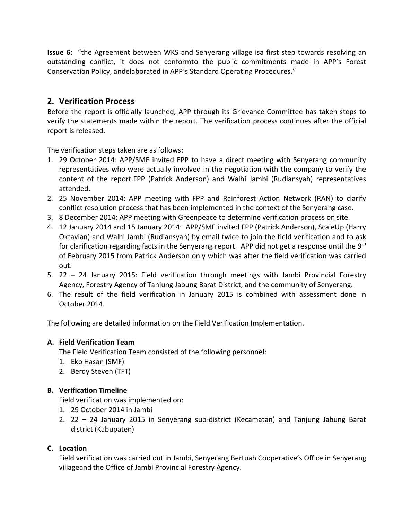**Issue 6:** "the Agreement between WKS and Senyerang village isa first step towards resolving an outstanding conflict, it does not conformto the public commitments made in APP's Forest Conservation Policy, andelaborated in APP's Standard Operating Procedures."

# **2. Verification Process**

Before the report is officially launched, APP through its Grievance Committee has taken steps to verify the statements made within the report. The verification process continues after the official report is released.

The verification steps taken are as follows:

- 1. 29 October 2014: APP/SMF invited FPP to have a direct meeting with Senyerang community representatives who were actually involved in the negotiation with the company to verify the content of the report.FPP (Patrick Anderson) and Walhi Jambi (Rudiansyah) representatives attended.
- 2. 25 November 2014: APP meeting with FPP and Rainforest Action Network (RAN) to clarify conflict resolution process that has been implemented in the context of the Senyerang case.
- 3. 8 December 2014: APP meeting with Greenpeace to determine verification process on site.
- 4. 12 January 2014 and 15 January 2014: APP/SMF invited FPP (Patrick Anderson), ScaleUp (Harry Oktavian) and Walhi Jambi (Rudiansyah) by email twice to join the field verification and to ask for clarification regarding facts in the Senyerang report. APP did not get a response until the 9<sup>th</sup> of February 2015 from Patrick Anderson only which was after the field verification was carried out.
- 5. 22 24 January 2015: Field verification through meetings with Jambi Provincial Forestry Agency, Forestry Agency of Tanjung Jabung Barat District, and the community of Senyerang.
- 6. The result of the field verification in January 2015 is combined with assessment done in October 2014.

The following are detailed information on the Field Verification Implementation.

## **A. Field Verification Team**

The Field Verification Team consisted of the following personnel:

- 1. Eko Hasan (SMF)
- 2. Berdy Steven (TFT)

## **B. Verification Timeline**

Field verification was implemented on:

- 1. 29 October 2014 in Jambi
- 2. 22 24 January 2015 in Senyerang sub-district (Kecamatan) and Tanjung Jabung Barat district (Kabupaten)

## **C. Location**

Field verification was carried out in Jambi, Senyerang Bertuah Cooperative's Office in Senyerang villageand the Office of Jambi Provincial Forestry Agency.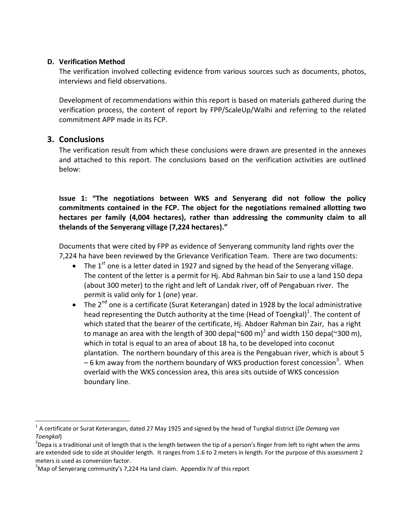## **D. Verification Method**

The verification involved collecting evidence from various sources such as documents, photos, interviews and field observations.

Development of recommendations within this report is based on materials gathered during the verification process, the content of report by FPP/ScaleUp/Walhi and referring to the related commitment APP made in its FCP.

## **3. Conclusions**

The verification result from which these conclusions were drawn are presented in the annexes and attached to this report. The conclusions based on the verification activities are outlined below:

**Issue 1: "The negotiations between WKS and Senyerang did not follow the policy commitments contained in the FCP. The object for the negotiations remained allotting two hectares per family (4,004 hectares), rather than addressing the community claim to all thelands of the Senyerang village (7,224 hectares)."**

Documents that were cited by FPP as evidence of Senyerang community land rights over the 7,224 ha have been reviewed by the Grievance Verification Team. There are two documents:

- The 1<sup>st</sup> one is a letter dated in 1927 and signed by the head of the Senyerang village. The content of the letter is a permit for Hj. Abd Rahman bin Sair to use a land 150 depa (about 300 meter) to the right and left of Landak river, off of Pengabuan river. The permit is valid only for 1 (one) year.
- The  $2^{nd}$  one is a certificate (Surat Keterangan) dated in 1928 by the local administrative head representing the Dutch authority at the time (Head of Toengkal)<sup>1</sup>. The content of which stated that the bearer of the certificate, Hj. Abdoer Rahman bin Zair, has a right to manage an area with the length of 300 depa( $\degree$ 600 m)<sup>2</sup> and width 150 depa( $\degree$ 300 m), which in total is equal to an area of about 18 ha, to be developed into coconut plantation. The northern boundary of this area is the Pengabuan river, which is about 5  $-$  6 km away from the northern boundary of WKS production forest concession<sup>3</sup>. When overlaid with the WKS concession area, this area sits outside of WKS concession boundary line.

 <sup>1</sup> A certificate or Surat Keterangan, dated 27 May 1925 and signed by the head of Tungkal district (*De Demang van Toengkal*) <sup>2</sup>

<sup>&</sup>lt;sup>2</sup>Depa is a traditional unit of length that is the length between the tip of a person's finger from left to right when the arms are extended side to side at shoulder length. It ranges from 1.6 to 2 meters in length. For the purpose of this assessment 2 meters is used as conversion factor.

 $3$ Map of Senyerang community's 7,224 Ha land claim. Appendix IV of this report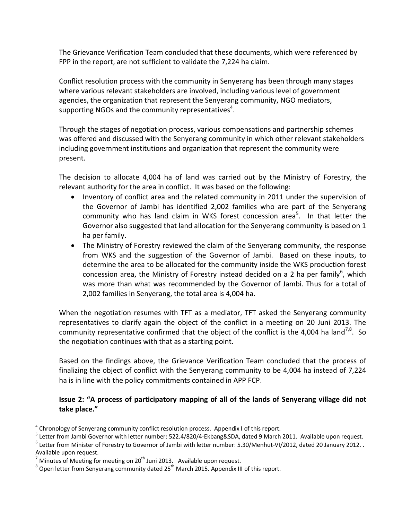The Grievance Verification Team concluded that these documents, which were referenced by FPP in the report, are not sufficient to validate the 7,224 ha claim.

Conflict resolution process with the community in Senyerang has been through many stages where various relevant stakeholders are involved, including various level of government agencies, the organization that represent the Senyerang community, NGO mediators, supporting NGOs and the community representatives<sup>4</sup>.

Through the stages of negotiation process, various compensations and partnership schemes was offered and discussed with the Senyerang community in which other relevant stakeholders including government institutions and organization that represent the community were present.

The decision to allocate 4,004 ha of land was carried out by the Ministry of Forestry, the relevant authority for the area in conflict. It was based on the following:

- · Inventory of conflict area and the related community in 2011 under the supervision of the Governor of Jambi has identified 2,002 families who are part of the Senyerang community who has land claim in WKS forest concession area<sup>5</sup>. In that letter the Governor also suggested that land allocation for the Senyerang community is based on 1 ha per family.
- The Ministry of Forestry reviewed the claim of the Senyerang community, the response from WKS and the suggestion of the Governor of Jambi. Based on these inputs, to determine the area to be allocated for the community inside the WKS production forest concession area, the Ministry of Forestry instead decided on a 2 ha per family<sup>6</sup>, which was more than what was recommended by the Governor of Jambi. Thus for a total of 2,002 families in Senyerang, the total area is 4,004 ha.

When the negotiation resumes with TFT as a mediator, TFT asked the Senyerang community representatives to clarify again the object of the conflict in a meeting on 20 Juni 2013. The community representative confirmed that the object of the conflict is the 4,004 ha land<sup>7,8</sup>. So the negotiation continues with that as a starting point.

Based on the findings above, the Grievance Verification Team concluded that the process of finalizing the object of conflict with the Senyerang community to be 4,004 ha instead of 7,224 ha is in line with the policy commitments contained in APP FCP.

## **Issue 2: "A process of participatory mapping of all of the lands of Senyerang village did not take place."**

Chronology of Senyerang community conflict resolution process. Appendix I of this report.

<sup>&</sup>lt;sup>5</sup> Letter from Jambi Governor with letter number: 522.4/820/4-Ekbang&SDA, dated 9 March 2011. Available upon request.<br><sup>6</sup> Letter from Minister of Forestry to Governor of Jambi with letter number: 5.30/Menhut-VI/2012, date

Available upon request.<br> $^7$  Minutes of Meeting for meeting on 20<sup>th</sup> Juni 2013. Available upon request.

 $8$  Open letter from Senyerang community dated 25<sup>th</sup> March 2015. Appendix III of this report.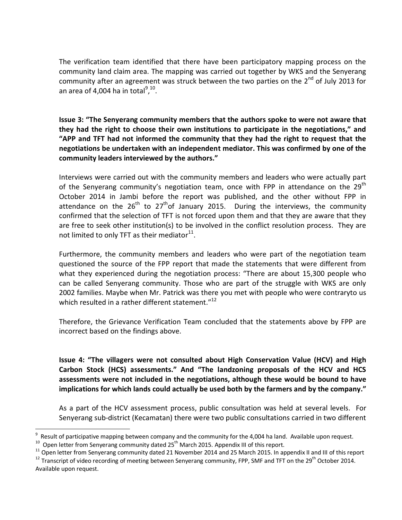The verification team identified that there have been participatory mapping process on the community land claim area. The mapping was carried out together by WKS and the Senyerang community after an agreement was struck between the two parties on the  $2^{nd}$  of July 2013 for an area of 4,004 ha in total $9,10$ .

**Issue 3: "The Senyerang community members that the authors spoke to were not aware that they had the right to choose their own institutions to participate in the negotiations," and "APP and TFT had not informed the community that they had the right to request that the negotiations be undertaken with an independent mediator. This was confirmed by one of the community leaders interviewed by the authors."**

Interviews were carried out with the community members and leaders who were actually part of the Senyerang community's negotiation team, once with FPP in attendance on the 29<sup>th</sup> October 2014 in Jambi before the report was published, and the other without FPP in attendance on the  $26^{th}$  to  $27^{th}$ of January 2015. During the interviews, the community confirmed that the selection of TFT is not forced upon them and that they are aware that they are free to seek other institution(s) to be involved in the conflict resolution process. They are not limited to only TFT as their mediator $^{11}$ .

Furthermore, the community members and leaders who were part of the negotiation team questioned the source of the FPP report that made the statements that were different from what they experienced during the negotiation process: "There are about 15,300 people who can be called Senyerang community. Those who are part of the struggle with WKS are only 2002 families. Maybe when Mr. Patrick was there you met with people who were contraryto us which resulted in a rather different statement."<sup>12</sup>

Therefore, the Grievance Verification Team concluded that the statements above by FPP are incorrect based on the findings above.

**Issue 4: "The villagers were not consulted about High Conservation Value (HCV) and High Carbon Stock (HCS) assessments." And "The landzoning proposals of the HCV and HCS assessments were not included in the negotiations, although these would be bound to have implications for which lands could actually be used both by the farmers and by the company."**

As a part of the HCV assessment process, public consultation was held at several levels. For Senyerang sub-district (Kecamatan) there were two public consultations carried in two different

<sup>&</sup>lt;sup>9</sup> Result of participative mapping between company and the community for the 4,004 ha land. Available upon request.<br><sup>10</sup> Open letter from Senyerang community dated 25<sup>th</sup> March 2015. Appendix III of this report.<br><sup>11</sup> Ope

Available upon request.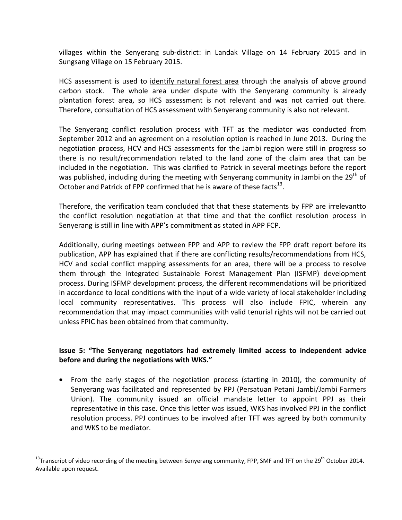villages within the Senyerang sub-district: in Landak Village on 14 February 2015 and in Sungsang Village on 15 February 2015.

HCS assessment is used to identify natural forest area through the analysis of above ground carbon stock. The whole area under dispute with the Senyerang community is already plantation forest area, so HCS assessment is not relevant and was not carried out there. Therefore, consultation of HCS assessment with Senyerang community is also not relevant.

The Senyerang conflict resolution process with TFT as the mediator was conducted from September 2012 and an agreement on a resolution option is reached in June 2013. During the negotiation process, HCV and HCS assessments for the Jambi region were still in progress so there is no result/recommendation related to the land zone of the claim area that can be included in the negotiation. This was clarified to Patrick in several meetings before the report was published, including during the meeting with Senyerang community in Jambi on the  $29<sup>th</sup>$  of October and Patrick of FPP confirmed that he is aware of these facts $^{13}$ .

Therefore, the verification team concluded that that these statements by FPP are irrelevantto the conflict resolution negotiation at that time and that the conflict resolution process in Senyerang is still in line with APP's commitment as stated in APP FCP.

Additionally, during meetings between FPP and APP to review the FPP draft report before its publication, APP has explained that if there are conflicting results/recommendations from HCS, HCV and social conflict mapping assessments for an area, there will be a process to resolve them through the Integrated Sustainable Forest Management Plan (ISFMP) development process. During ISFMP development process, the different recommendations will be prioritized in accordance to local conditions with the input of a wide variety of local stakeholder including local community representatives. This process will also include FPIC, wherein any recommendation that may impact communities with valid tenurial rights will not be carried out unless FPIC has been obtained from that community.

## **Issue 5: "The Senyerang negotiators had extremely limited access to independent advice before and during the negotiations with WKS."**

· From the early stages of the negotiation process (starting in 2010), the community of Senyerang was facilitated and represented by PPJ (Persatuan Petani Jambi/Jambi Farmers Union). The community issued an official mandate letter to appoint PPJ as their representative in this case. Once this letter was issued, WKS has involved PPJ in the conflict resolution process. PPJ continues to be involved after TFT was agreed by both community and WKS to be mediator.

 $13$ Transcript of video recording of the meeting between Senyerang community, FPP, SMF and TFT on the 29<sup>th</sup> October 2014. Available upon request.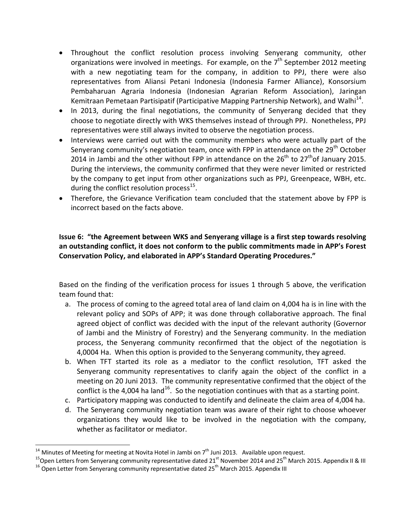- · Throughout the conflict resolution process involving Senyerang community, other organizations were involved in meetings. For example, on the  $7<sup>th</sup>$  September 2012 meeting with a new negotiating team for the company, in addition to PPJ, there were also representatives from Aliansi Petani Indonesia (Indonesia Farmer Alliance), Konsorsium Pembaharuan Agraria Indonesia (Indonesian Agrarian Reform Association), Jaringan Kemitraan Pemetaan Partisipatif (Participative Mapping Partnership Network), and Walhi<sup>14</sup>.
- In 2013, during the final negotiations, the community of Senyerang decided that they choose to negotiate directly with WKS themselves instead of through PPJ. Nonetheless, PPJ representatives were still always invited to observe the negotiation process.
- · Interviews were carried out with the community members who were actually part of the Senyerang community's negotiation team, once with FPP in attendance on the 29<sup>th</sup> October 2014 in Jambi and the other without FPP in attendance on the  $26<sup>th</sup>$  to  $27<sup>th</sup>$ of January 2015. During the interviews, the community confirmed that they were never limited or restricted by the company to get input from other organizations such as PPJ, Greenpeace, WBH, etc. during the conflict resolution process<sup>15</sup>.
- · Therefore, the Grievance Verification team concluded that the statement above by FPP is incorrect based on the facts above.

## **Issue 6: "the Agreement between WKS and Senyerang village is a first step towards resolving an outstanding conflict, it does not conform to the public commitments made in APP's Forest Conservation Policy, and elaborated in APP's Standard Operating Procedures."**

Based on the finding of the verification process for issues 1 through 5 above, the verification team found that:

- a. The process of coming to the agreed total area of land claim on 4,004 ha is in line with the relevant policy and SOPs of APP; it was done through collaborative approach. The final agreed object of conflict was decided with the input of the relevant authority (Governor of Jambi and the Ministry of Forestry) and the Senyerang community. In the mediation process, the Senyerang community reconfirmed that the object of the negotiation is 4,0004 Ha. When this option is provided to the Senyerang community, they agreed.
- b. When TFT started its role as a mediator to the conflict resolution, TFT asked the Senyerang community representatives to clarify again the object of the conflict in a meeting on 20 Juni 2013. The community representative confirmed that the object of the conflict is the 4,004 ha land<sup>16</sup>. So the negotiation continues with that as a starting point.
- c. Participatory mapping was conducted to identify and delineate the claim area of 4,004 ha.
- d. The Senyerang community negotiation team was aware of their right to choose whoever organizations they would like to be involved in the negotiation with the company, whether as facilitator or mediator.

<sup>&</sup>lt;sup>14</sup> Minutes of Meeting for meeting at Novita Hotel in Jambi on 7<sup>th</sup> Juni 2013. Available upon request.<br><sup>15</sup>Open Letters from Senyerang community representative dated 21<sup>st</sup> November 2014 and 25<sup>th</sup> March 2015. Appendix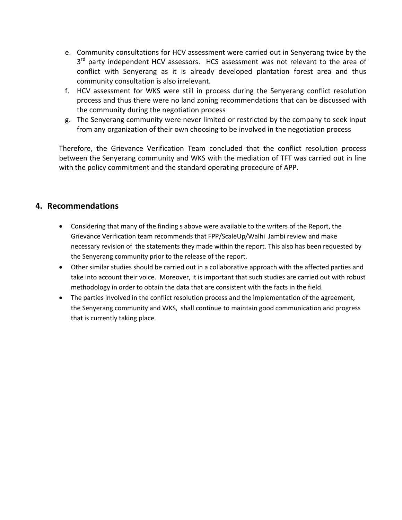- e. Community consultations for HCV assessment were carried out in Senyerang twice by the 3<sup>rd</sup> party independent HCV assessors. HCS assessment was not relevant to the area of conflict with Senyerang as it is already developed plantation forest area and thus community consultation is also irrelevant.
- f. HCV assessment for WKS were still in process during the Senyerang conflict resolution process and thus there were no land zoning recommendations that can be discussed with the community during the negotiation process
- g. The Senyerang community were never limited or restricted by the company to seek input from any organization of their own choosing to be involved in the negotiation process

Therefore, the Grievance Verification Team concluded that the conflict resolution process between the Senyerang community and WKS with the mediation of TFT was carried out in line with the policy commitment and the standard operating procedure of APP.

# **4. Recommendations**

- · Considering that many of the finding s above were available to the writers of the Report, the Grievance Verification team recommends that FPP/ScaleUp/Walhi Jambi review and make necessary revision of the statements they made within the report. This also has been requested by the Senyerang community prior to the release of the report.
- · Other similar studies should be carried out in a collaborative approach with the affected parties and take into account their voice. Moreover, it is important that such studies are carried out with robust methodology in order to obtain the data that are consistent with the facts in the field.
- The parties involved in the conflict resolution process and the implementation of the agreement, the Senyerang community and WKS, shall continue to maintain good communication and progress that is currently taking place.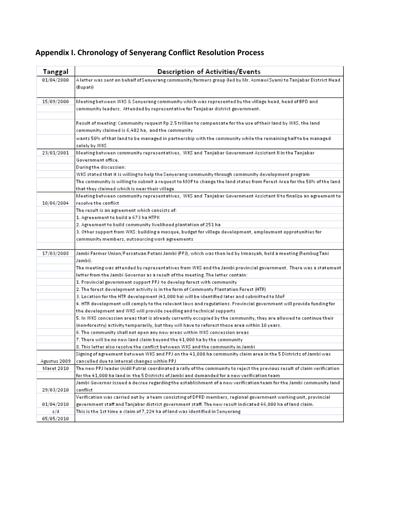| A letter was sent on behalf of Senyerang community/farmers group (led by Mr. Asmawi Syam) to Tanjabar District Head       |
|---------------------------------------------------------------------------------------------------------------------------|
|                                                                                                                           |
|                                                                                                                           |
| Meeting between WKS & Senyerang community which was represented by the village head, head of BPD and                      |
|                                                                                                                           |
|                                                                                                                           |
| Result of meeting: Community request Rp 2.5 trillion to compensate for the use of their land by WKS, the land             |
|                                                                                                                           |
| wants 50% of that land to be managed in partnership with the community while the remaining half to be managed             |
|                                                                                                                           |
| Meeting between community representatives, WKS and Tanjabar Government Assistant II in the Tanjabar                       |
|                                                                                                                           |
|                                                                                                                           |
| WKS stated that it is willing to help the Senyerang community through community development program                       |
| The community is willingto submit a request to MOF to change the land status from Forest Area for the 50% of the land     |
|                                                                                                                           |
| Meeting between community representatives, WKS and Tanjabar Government Assistant II to finalize an agreement to           |
|                                                                                                                           |
|                                                                                                                           |
|                                                                                                                           |
| 3. Other support from WKS: building a mosque, budget for village development, employment opprotunities for                |
|                                                                                                                           |
|                                                                                                                           |
| Jambi Farmer Union/Persatuan Petani Jambi (PPJ), which was then led by Irmasyah, held a meeting (Rembug Tani I            |
|                                                                                                                           |
| The meeting was attended by representatives from WKS and the Jambi provincial government. There was a statement           |
|                                                                                                                           |
|                                                                                                                           |
|                                                                                                                           |
|                                                                                                                           |
| 4. HTR development will comply to the relevant laws and regulations. Provincial government will provide funding for       |
|                                                                                                                           |
| 5. In WKS concession areas that is already currently occupied by the community, they are allowed to continue their        |
|                                                                                                                           |
|                                                                                                                           |
|                                                                                                                           |
|                                                                                                                           |
| Signing of agreement between WKS and PPJ on the 41,000 ha community claim area in the 5 Districts of Jambi was            |
|                                                                                                                           |
| The new PPJ leader (Aidil Putra) coordinated a rally of the community to reject the previous result of claim verification |
|                                                                                                                           |
| Jambi Governor issued a decree regarding the establishment of a new verification team for the Jambi community land        |
|                                                                                                                           |
| Verification was carried out by a team consisting of DPRD members, regional government working unit, provincial           |
| government staff and Tanjabar district government staff. The new result indicated 66,000 ha of land claim.                |
|                                                                                                                           |
|                                                                                                                           |

# **Appendix I. Chronology of Senyerang Conflict Resolution Process**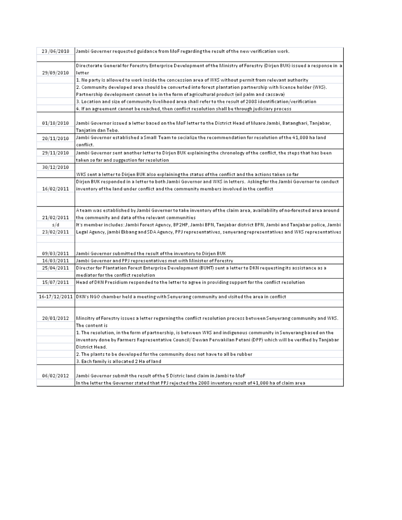| 23/06/2010 | Jambi Governer requested guidance from MoF regarding the result of the new verification work.                                     |
|------------|-----------------------------------------------------------------------------------------------------------------------------------|
| 29/09/2010 | Directorate General for Forestry Enterprise Development of the Ministry of Forestry (Dirjen BUK) issued a response in a<br>letter |
|            | 1. No party is allowed to work inside the concession area of WKS without permit from relevant authority                           |
|            | 2. Community developed area should be converted into forest plantation partnership with license holder (WKS).                     |
|            | (eil palm and cassava) Part is a finition of a price true in the risk of cassava                                                  |
|            | 3. Location and size of community livelihood area shall refer to the result of 2008 identification/verification                   |
|            | 4. If an agreement cannot be reached, then conflict resolution shall be through judiciary process                                 |
|            |                                                                                                                                   |
| 01/10/2010 | Jambi Governor issued a letter based on the MoFletter to the District Head of Muaro Jambi, Batanghari, Tanjabar,                  |
|            | Tanjatim dan Tebo.                                                                                                                |
| 20/11/2010 | Jambi Governor established a Small Team to socialize the recommendation for resolution of the 41,000 ha land                      |
|            | conflict.                                                                                                                         |
| 29/11/2010 | Jambi Governor sent another letter to Dirjen BUK explaining the chronology of the conflict, the steps that has been               |
|            | taken so far and suggestion for resolution                                                                                        |
| 30/12/2010 |                                                                                                                                   |
|            | WKS sent a letter to Dirjen BUK also explaining the status of the conflict and the actions taken so far                           |
|            | Dirjen BUK responded in a letter to both Jambi Governor and WKS in letters. Askingfor the Jambi Governor to conduct               |
| 16/02/2011 | inventory of the land under conflict and the community members involved in the conflict                                           |
|            |                                                                                                                                   |
|            | Ateam was established by Jambi Governor to take inventory of the claim area, availability of no-forested area around              |
| 21/02/2011 | the community and data of the relevant communities                                                                                |
| s/d        | lt's member includes: Jambi Forest Agency, BP2HP, Jambi BPN, Tanjabar district BPN, Jambi and Tanjabar police, Jambi              |
| 23/02/2011 | Legal Agency, jambi Ekbang and SDA Agency, PPJ representatives, senyerang representatives and WKS representatives                 |
|            |                                                                                                                                   |
|            |                                                                                                                                   |
| 09/03/2011 | Jambi Governor submitted the result of the inventory to Dirjen BUK                                                                |
| 16/03/2011 | Jambi Governor and PPJ representatives met with Minister of Forestry                                                              |
| 25/04/2011 | Director for Plantation Forest Enterprise Development (BUHT) sent a letter to DKN requesting its assistance as a                  |
|            | mediator for the conflict resolution                                                                                              |
| 15/07/2011 | Head of DKN Presidium responded to the letter to agree in providing support for the conflict resolution                           |
|            | 16-17/12/2011 DKN's NGO chamber held a meeting with Senyerang community and visited the area in conflict                          |
|            |                                                                                                                                   |
|            |                                                                                                                                   |
| 20/01/2012 | Minsitry of Forestry issues a letter regarning the conflict resolution process between Senyerang community and WKS.               |
|            | The content is                                                                                                                    |
|            | 1. The resolution, in the form of partnership, is between WKS and indigenous community in Senyerang based on the                  |
|            | inventory done by Farmers Representative Council/Dewan Perwakilan Petani (DPP) which will be verified by Tanjabar                 |
|            | District Head.                                                                                                                    |
|            | 2. The plants to be developed for the community does not have to all be rubber                                                    |
|            | 3. Each family is allocated 2 Ha of land                                                                                          |
|            |                                                                                                                                   |
| 06/02/2012 | Jambi Governor submit the result of the 5 Distric land claim in Jambi to MoF                                                      |
|            | In the letter the Governor stated that PPJ rejected the 2008 inventory result of 41,000 ha of claim area                          |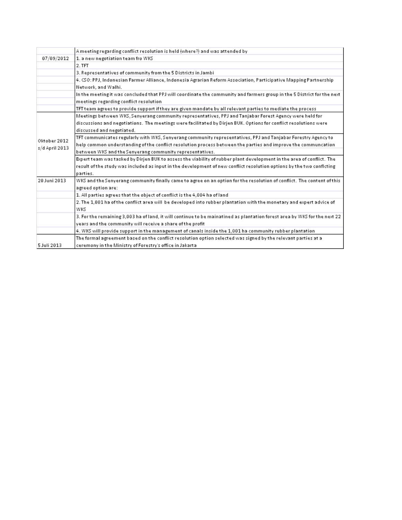|                                | A meeting regarding conflict resolution is held (where?) and was attended by                                              |
|--------------------------------|---------------------------------------------------------------------------------------------------------------------------|
| 07/09/2012                     | 1. a new negotiation team fro WKS                                                                                         |
|                                | 2. TFT                                                                                                                    |
|                                | 3. Representatives of community from the 5 Districts in Jambi                                                             |
|                                | 4. CSO: PPJ, Indonesian Farmer Alliance, Indonesia Agrarian Reform Association, Participative Mapping Partnership         |
|                                | Network, and Walhi.                                                                                                       |
|                                | In the meeting it was concluded that PPJ will coordinate the community and farmers group in the 5 District for the next   |
|                                | meetings regarding conflict resolution                                                                                    |
|                                | TFT team agrees to provide support if they are given mandate by all relevant parties to mediate the process               |
| Oktober 2012<br>s/d April 2013 | Meetings between WKS, Senyerang community representatives, PPJ and Tanjabar Forest Agency were held for                   |
|                                | discussions and negotiations. The meetings were facilitated by Dirjen BUK. Options for conflict resolutions were          |
|                                | discussed and negotiated.                                                                                                 |
|                                | TFT communicates regularly with WKS, Senyerang community representatives, PPJ and Tanjabar Forestry Agency to             |
|                                | help common understanding of the conflict resolution process between the parties and improve the communcation             |
|                                | between WKS and the Senyerang community representatives.                                                                  |
|                                | Expert team was tasked by Dirjen BUK to assess the viability of rubber plant development in the area of conflict. The     |
|                                | result of the study was included as input in the development of new conflict resolution options by the two conficting     |
|                                | parties.                                                                                                                  |
| 20 Juni 2013                   | WKS and the Senyerang community finally came to agree on an option for the resolution of conflict. The content of this    |
|                                | agreed option are:                                                                                                        |
|                                | 1. All parties agrees that the object of conflict is the 4,004 ha of land                                                 |
|                                | 2. The 1,001 ha of the conflict area will be developed into rubber plantation with the monetary and expert advice of      |
|                                | wks                                                                                                                       |
|                                | 3. For the remaining 3,003 ha of land, it will continue to be mainatined as plantation forest area by WKS for the next 22 |
|                                | years and the community will receive a share of the profit                                                                |
|                                | 4. WKS will provide support in the management of canals inside the 1,001 ha community rubber plantation                   |
|                                | The formal agreement based on the conflict resolution option selected was signed by the relevant parties at al            |
| 5 Juli 2013                    | ceremony in the Ministry of Forestry's office in Jakarta                                                                  |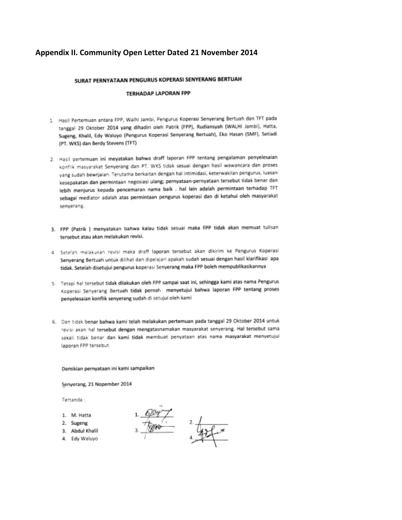## Appendix II. Community Open Letter Dated 21 November 2014

### SURAT PERNYATAAN PENGURUS KOPERASI SENYERANG BERTUAH

### **TERHADAP LAPORAN FPP**

- 1. Hasil Pertemuan antara FPP, Walhi Jambi, Pengurus Koperasi Senyerang Bertuah dan TFT pada tanggal 29 Oktober 2014 yang dihadiri oleh Patrik (FPP), Rudiansyah (WALHI Jambi), Hatta, Sugeng, Khalil, Edy Waluyo (Pengurus Koperasi Senyerang Bertuah), Eko Hasan (SMF), Setiadi (PT. WKS) dan Berdy Stevens (TFT)
- 2. Hasil pertemuan ini meyatakan bahwa draff laporan FPP tentang pengalaman penyelesaian konflik masyarakat Senyerang dan PT. WKS tidak sesuai dengan hasil wawancara dan proses yang sudah bewrjalan. Terutama berkaitan dengan hal intimidasi, keterwakilan pengurus, luasan kesepakatan dan permintaan negosiasi ulang; pernyataan-pernyataan tersebut tidak benar dan lebih menjurus kepada pencemaran nama baik . hal lain adalah permintaan terhadap TFT sebagai mediator adalah atas permintaan pengurus koperasi dan di ketahui oleh masyarakat senyerang.
- 3. FPP (Patrik ) menyatakan bahwa kalau tidak sesuai maka FPP tidak akan memuat tulisan tersebut atau akan melakukan revisi.
- 4. Setelah melakukan revisi maka draff laporan tersebut akan dikirim ke Pengurus Koperasi Senyerang Bertuah untuk dilihat dan dipelajari apakah sudah sesuai dengan hasil klarifikasi apa tidak. Setelah disetujui pengurus koperasi Senyerang maka FPP boleh mempublikasikannya
- 5. Tetapi hal tersebut tidak dilakukan oleh FPP sampai saat ini, sehingga kami atas nama Pengurus Koperasi Senyerang Bertuah tidak pernah menyetujui bahwa laporan FPP tentang proses penyelesaian konflik senyerang sudah di setujui oleh kami
- 6. Dan tidak benar bahwa kami telah melakukan pertemuan pada tanggal 29 Oktober 2014 untuk revisi akan hal tersebut dengan mengatasnamakan masyarakat senyerang. Hal tersebut sama sekali tidak benar dan kami tidak membuat penyataan atas nama masyarakat menyetujui laporan FPP tersebut.

#### Demikian pernyataan ini kami sampalkan

Senyerang, 21 Nopember 2014

Tertanda :

- 1. M. Hatta
- 2. Sugeng
- 3. Abdul Khalil
- 4. Edy Waluyo

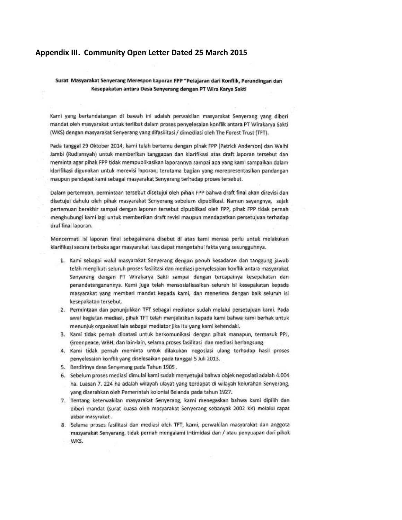### Appendix III. Community Open Letter Dated 25 March 2015

### Surat Masyarakat Senyerang Merespon Laporan FPP "Pelajaran dari Konflik, Perundingan dan Kesepakatan antara Desa Senyerang dengan PT Wira Karya Sakti

Kami yang bertandatangan di bawah ini adalah perwakilan masyarakat Senyerang yang diberi mandat oleh masyarakat untuk terlibat dalam proses penyelesaian konflik antara PT Wirakarya Sakti (WKS) dengan masyarakat Senyerang yang difasilitasi / dimediasi oleh The Forest Trust (TFT).

Pada tanggal 29 Oktober 2014, kami telah bertemu dengan pihak FPP (Patrick Anderson) dan Walhi Jambi (Rudiansyah) untuk memberikan tanggapan dan klarifikasi atas draft laporan tersebut dan meminta agar pihak FPP tidak mempublikasikan laporannya sampai apa yang kami sampaikan dalam klarifikasi digunakan untuk merevisi laporan; terutama bagian yang merepresentasikan pandangan maupun pendapat kami sebagai masyarakat Senyerang terhadap proses tersebut.

Dalam pertemuan, permintaan tersebut disetujui oleh pihak FPP bahwa draft final akan direvisi dan disetujui dahulu oleh pihak masyarakat Senyerang sebelum dipublikasi. Namun sayangnya, sejak pertemuan berakhir sampai dengan laporan tersebut dipublikasi oleh FPP, pihak FPP tidak pernah menghubungi kami lagi untuk memberikan draft revisi maupun mendapatkan persetujuan terhadap draf final laporan.

Mencermati isi laporan final sebagaimana disebut di atas kami merasa perlu untuk melakukan klarifikasi secara terbuka agar masyarakat luas dapat mengetahui fakta yang sesungguhnya.

- 1. Kami sebagai wakil masyarakat Senyerang dengan penuh kesadaran dan tanggung jawab telah mengikuti seluruh proses fasilitasi dan mediasi penyelesaian konflik antara masyarakat Senyerang dengan PT Wirakarya Sakti sampai dengan tercapainya kesepakatan dan penandatanganannya. Kami juga telah mensosialisasikan seluruh isi kesepakatan kepada masyarakat yang memberi mandat kepada kami, dan menerima dengan baik seluruh isi kesepakatan tersebut.
- 2. Permintaan dan penunjukkan TFT sebagai mediator sudah melalui persetujuan kami. Pada awal kegiatan mediasi, pihak TFT telah menjelaskan kepada kami bahwa kami berhak untuk menunjuk organisasi lain sebagai mediator jika itu yang kami kehendaki.
- 3. Kami tidak pernah dibatasi untuk berkomunikasi dengan pihak manapun, termasuk PPJ, Greenpeace, WBH, dan lain-lain, selama proses fasilitasi dan mediasi berlangsung.
- 4. Kami tidak pernah meminta untuk dilakukan negosiasi ulang terhadap hasil proses penyelesaian konflik yang diselesaikan pada tanggal 5 Juli 2013.
- 5. Berdirinya desa Senyerang pada Tahun 1905.
- 6. Sebelum proses mediasi dimulai kami sudah menyetujui bahwa objek negosiasi adalah 4.004 ha. Luasan 7. 224 ha adalah wilayah ulayat yang terdapat di wilayah kelurahan Senyerang, yang diserahkan oleh Pemerintah kolonial Belanda pada tahun 1927.
- 7. Tentang keterwakilan masyarakat Senyerang, kami menegaskan bahwa kami dipilih dan diberi mandat (surat kuasa oleh masyarakat Senyerang sebanyak 2002 KK) melalui rapat akbar masyrakat.
- 8. Selama proses fasilitasi dan mediasi oleh TFT, kami, perwakilan masyarakat dan anggota masyarakat Senyerang, tidak pernah mengalami intimidasi dan / atau penyuapan dari pihak WKS.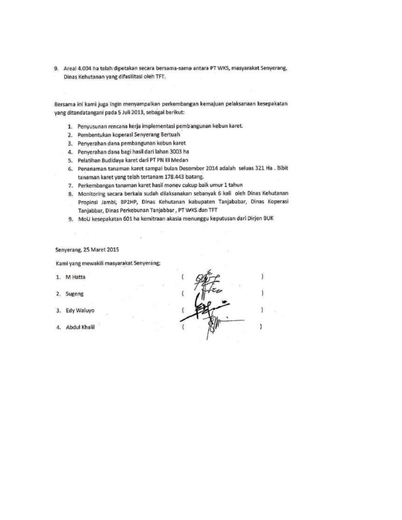9. Areal 4.004 ha telah dipetakan secara bersama-sama antara PT WKS, masyarakat Senyerang, Dinas Kehutanan yang difasilitasi oleh TFT.

Bersama ini kami juga Ingin menyampaikan perkembangan kemajuan pelaksanaan kesepakatan yang ditandatangani pada 5 Juli 2013, sebagai berikut:

- 1. Penyusunan rencana kerja implementasi pembangunan kebun karet.
- 2. Pembentukan koperasi Senyerang Bertuah
- 3. Penyerahan dana pembangunan kebun karet
- 4. Penyerahan dana bagi hasil dari lahan 3003 ha
- 5. Pelatihan Budidaya karet dari PT PN III Medan
- 6. Penanaman tanaman karet sampai bulan Desember 2014 adalah seluas 321 Ha . Bibit tanaman karet yang telah tertanam 178.443 batang.
- 7. Perkembangan tanaman karet hasil monev cukup baik umur 1 tahun
- 8. Monitoring secara berkala sudah dilaksanakan sebanyak 6 kali oleh Dinas Kehutanan Propinsi Jambi, BP2HP, Dinas Kehutanan kabupaten Tanjababar, Dinas Koperasi Tanjabbar, Dinas Perkebunan Tanjabbar, PT WKS dan TFT
- 9. MoU kesepakatan 601 ha kemitraan akasia menunggu keputusan dari Dirjen BUK

### Senyerang, 25 Maret 2015

Kami yang mewakili masyarakat Senyerang;

- 1. M Hatta
- 2. Sugeng
- Edy Waluyo  $3.$
- 4. Abdul Khalil

J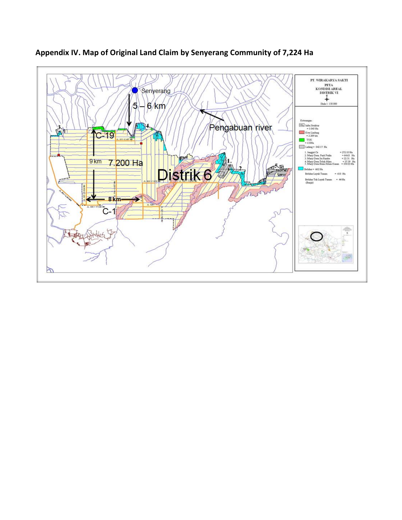

# **Appendix IV. Map of Original Land Claim by Senyerang Community of 7,224 Ha**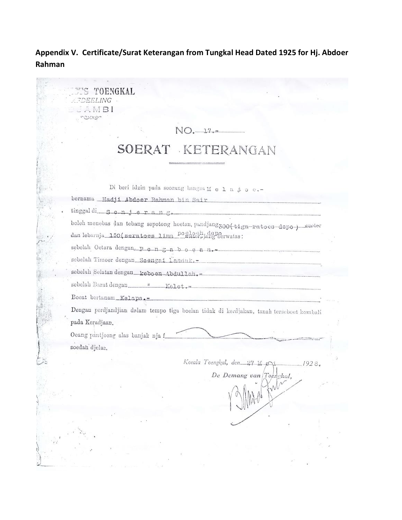# **Appendix V. Certificate/Surat Keterangan from Tungkal Head Dated 1925 for Hj. Abdoer Rahman**